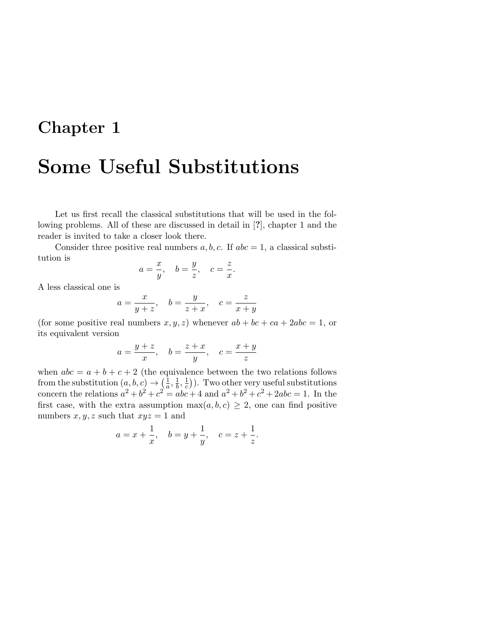## Chapter 1

## Some Useful Substitutions

Let us first recall the classical substitutions that will be used in the following problems. All of these are discussed in detail in [?], chapter 1 and the reader is invited to take a closer look there.

Consider three positive real numbers  $a, b, c$ . If  $abc = 1$ , a classical substitution is

$$
a=\frac{x}{y},\quad b=\frac{y}{z},\quad c=\frac{z}{x}.
$$

A less classical one is

$$
a = \frac{x}{y+z}, \quad b = \frac{y}{z+x}, \quad c = \frac{z}{x+y}
$$

(for some positive real numbers  $x, y, z$ ) whenever  $ab + bc + ca + 2abc = 1$ , or its equivalent version

$$
a = \frac{y+z}{x}, \quad b = \frac{z+x}{y}, \quad c = \frac{x+y}{z}
$$

when  $abc = a + b + c + 2$  (the equivalence between the two relations follows from the substitution  $(a, b, c) \rightarrow (\frac{1}{a})$  $\frac{1}{a}, \frac{1}{b}$  $\frac{1}{b}$ ,  $\frac{1}{c}$  $(\frac{1}{c})$ ). Two other very useful substitutions concern the relations  $a^2 + b^2 + c^2 = abc + 4$  and  $a^2 + b^2 + c^2 + 2abc = 1$ . In the first case, with the extra assumption  $\max(a, b, c) \geq 2$ , one can find positive numbers  $x, y, z$  such that  $xyz = 1$  and

$$
a = x + \frac{1}{x}
$$
,  $b = y + \frac{1}{y}$ ,  $c = z + \frac{1}{z}$ .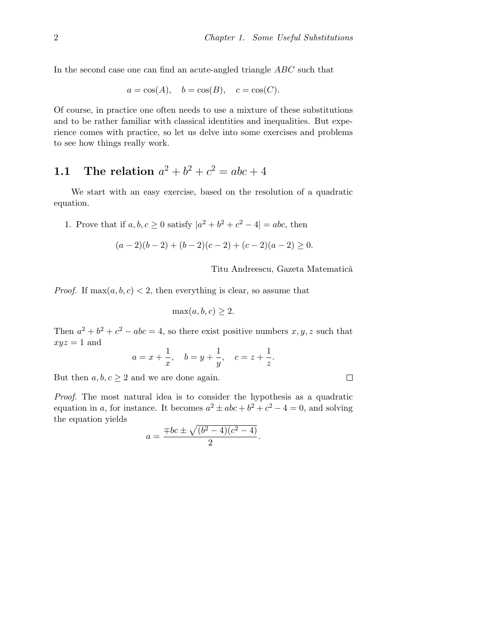In the second case one can find an acute-angled triangle ABC such that

$$
a = \cos(A), \quad b = \cos(B), \quad c = \cos(C).
$$

Of course, in practice one often needs to use a mixture of these substitutions and to be rather familiar with classical identities and inequalities. But experience comes with practice, so let us delve into some exercises and problems to see how things really work.

## 1.1 The relation  $a^2 + b^2 + c^2 = abc + 4$

We start with an easy exercise, based on the resolution of a quadratic equation.

1. Prove that if  $a, b, c \ge 0$  satisfy  $|a^2 + b^2 + c^2 - 4| = abc$ , then

$$
(a-2)(b-2) + (b-2)(c-2) + (c-2)(a-2) \ge 0.
$$

Titu Andreescu, Gazeta Matematică

*Proof.* If  $\max(a, b, c) < 2$ , then everything is clear, so assume that

$$
\max(a, b, c) \ge 2.
$$

Then  $a^2 + b^2 + c^2 - abc = 4$ , so there exist positive numbers  $x, y, z$  such that  $xyz = 1$  and

$$
a = x + \frac{1}{x}
$$
,  $b = y + \frac{1}{y}$ ,  $c = z + \frac{1}{z}$ .

But then  $a, b, c \geq 2$  and we are done again.

Proof. The most natural idea is to consider the hypothesis as a quadratic equation in a, for instance. It becomes  $a^2 \pm abc + b^2 + c^2 - 4 = 0$ , and solving the equation yields

$$
a = \frac{\mp bc \pm \sqrt{(b^2 - 4)(c^2 - 4)}}{2}.
$$

$$
\qquad \qquad \Box
$$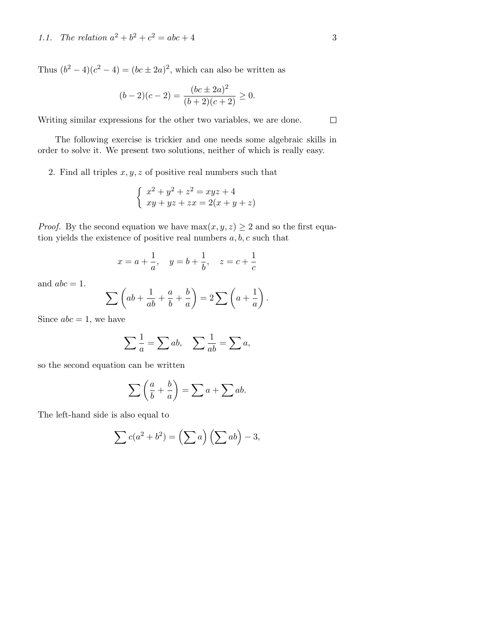Thus  $(b^2 - 4)(c^2 - 4) = (bc \pm 2a)^2$ , which can also be written as

$$
(b-2)(c-2) = \frac{(bc \pm 2a)^2}{(b+2)(c+2)} \ge 0.
$$

Writing similar expressions for the other two variables, we are done.

The following exercise is trickier and one needs some algebraic skills in order to solve it. We present two solutions, neither of which is really easy.

2. Find all triples  $x, y, z$  of positive real numbers such that

$$
\begin{cases}\nx^2 + y^2 + z^2 = xyz + 4 \\
xy + yz + zx = 2(x + y + z)\n\end{cases}
$$

*Proof.* By the second equation we have  $max(x, y, z) \ge 2$  and so the first equation yields the existence of positive real numbers  $a, b, c$  such that

$$
x = a + \frac{1}{a}
$$
,  $y = b + \frac{1}{b}$ ,  $z = c + \frac{1}{c}$ 

and  $abc = 1$ .

$$
\sum \left( ab + \frac{1}{ab} + \frac{a}{b} + \frac{b}{a} \right) = 2 \sum \left( a + \frac{1}{a} \right).
$$

Since  $abc = 1$ , we have

$$
\sum \frac{1}{a} = \sum ab, \quad \sum \frac{1}{ab} = \sum a,
$$

so the second equation can be written

$$
\sum \left(\frac{a}{b} + \frac{b}{a}\right) = \sum a + \sum ab.
$$

The left-hand side is also equal to

$$
\sum c(a^2 + b^2) = \left(\sum a\right)\left(\sum ab\right) - 3,
$$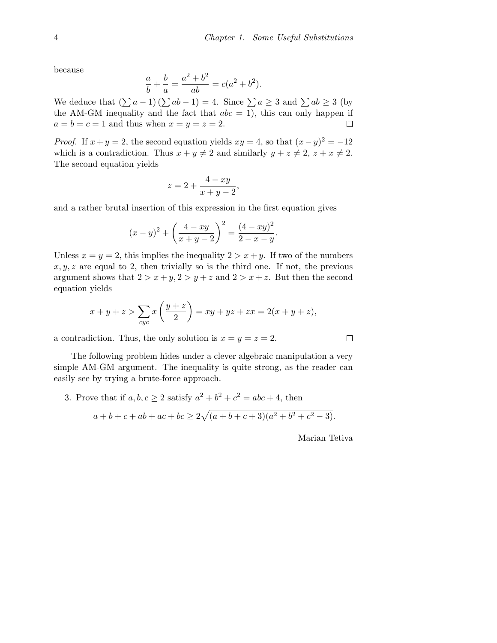because

$$
\frac{a}{b} + \frac{b}{a} = \frac{a^2 + b^2}{ab} = c(a^2 + b^2).
$$

We deduce that  $(\sum a - 1) (\sum ab - 1) = 4$ . Since  $\sum a \geq 3$  and  $\sum ab \geq 3$  (by the AM-GM inequality and the fact that  $abc = 1$ , this can only happen if  $a = b = c = 1$  and thus when  $x = y = z = 2$ .  $\Box$ 

*Proof.* If  $x + y = 2$ , the second equation yields  $xy = 4$ , so that  $(x - y)^2 = -12$ which is a contradiction. Thus  $x + y \neq 2$  and similarly  $y + z \neq 2$ ,  $z + x \neq 2$ . The second equation yields

$$
z = 2 + \frac{4 - xy}{x + y - 2},
$$

and a rather brutal insertion of this expression in the first equation gives

$$
(x-y)^{2} + \left(\frac{4-xy}{x+y-2}\right)^{2} = \frac{(4-xy)^{2}}{2-x-y}.
$$

Unless  $x = y = 2$ , this implies the inequality  $2 > x + y$ . If two of the numbers  $x, y, z$  are equal to 2, then trivially so is the third one. If not, the previous argument shows that  $2 > x + y$ ,  $2 > y + z$  and  $2 > x + z$ . But then the second equation yields

$$
x + y + z > \sum_{cyc} x\left(\frac{y+z}{2}\right) = xy + yz + zx = 2(x + y + z),
$$

a contradiction. Thus, the only solution is  $x = y = z = 2$ .

The following problem hides under a clever algebraic manipulation a very simple AM-GM argument. The inequality is quite strong, as the reader can easily see by trying a brute-force approach.

3. Prove that if  $a, b, c \geq 2$  satisfy  $a^2 + b^2 + c^2 = abc + 4$ , then  $a+b+c+ab+ac+bc \geq 2\sqrt{(a+b+c+3)(a^2+b^2+c^2-3)}$ .

Marian Tetiva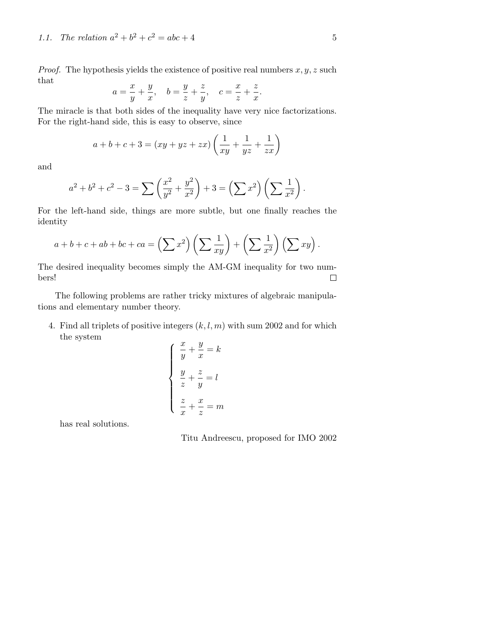*Proof.* The hypothesis yields the existence of positive real numbers  $x, y, z$  such that  $\alpha$ z  $\sim$ 

$$
a = \frac{x}{y} + \frac{y}{x}, \quad b = \frac{y}{z} + \frac{z}{y}, \quad c = \frac{x}{z} + \frac{z}{x}.
$$

The miracle is that both sides of the inequality have very nice factorizations. For the right-hand side, this is easy to observe, since

$$
a + b + c + 3 = (xy + yz + zx) \left(\frac{1}{xy} + \frac{1}{yz} + \frac{1}{zx}\right)
$$

and

$$
a^{2} + b^{2} + c^{2} - 3 = \sum \left(\frac{x^{2}}{y^{2}} + \frac{y^{2}}{x^{2}}\right) + 3 = \left(\sum x^{2}\right)\left(\sum \frac{1}{x^{2}}\right).
$$

For the left-hand side, things are more subtle, but one finally reaches the identity

$$
a+b+c+ab+bc+ca=\left(\sum x^2\right)\left(\sum \frac{1}{xy}\right)+\left(\sum \frac{1}{x^2}\right)\left(\sum xy\right).
$$

The desired inequality becomes simply the AM-GM inequality for two numbers!  $\Box$ 

The following problems are rather tricky mixtures of algebraic manipulations and elementary number theory.

4. Find all triplets of positive integers  $(k, l, m)$  with sum 2002 and for which the system  $\sim$  $\overline{a}$ 

$$
\begin{cases}\n\frac{x}{y} + \frac{y}{x} = k \\
\frac{y}{z} + \frac{z}{y} = l \\
\frac{z}{x} + \frac{x}{z} = m\n\end{cases}
$$

has real solutions.

Titu Andreescu, proposed for IMO 2002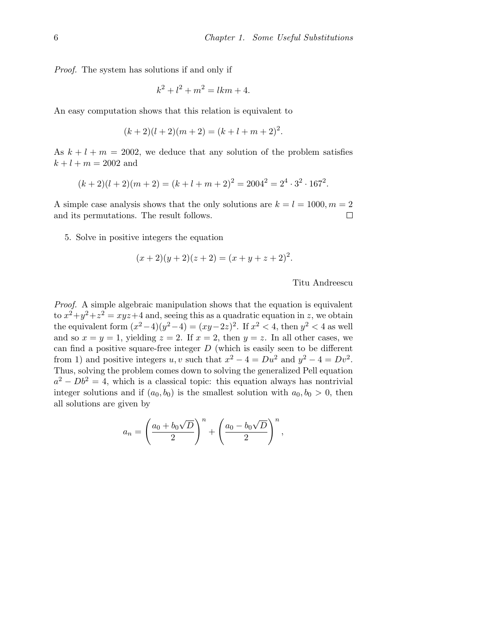Proof. The system has solutions if and only if

$$
k^2 + l^2 + m^2 = lkm + 4.
$$

An easy computation shows that this relation is equivalent to

$$
(k+2)(l+2)(m+2) = (k+l+m+2)^2.
$$

As  $k + l + m = 2002$ , we deduce that any solution of the problem satisfies  $k + l + m = 2002$  and

$$
(k+2)(l+2)(m+2) = (k+l+m+2)^2 = 2004^2 = 2^4 \cdot 3^2 \cdot 167^2.
$$

A simple case analysis shows that the only solutions are  $k = l = 1000, m = 2$ and its permutations. The result follows.  $\Box$ 

5. Solve in positive integers the equation

$$
(x+2)(y+2)(z+2) = (x+y+z+2)^2.
$$

Titu Andreescu

Proof. A simple algebraic manipulation shows that the equation is equivalent to  $x^2+y^2+z^2=xyz+4$  and, seeing this as a quadratic equation in z, we obtain the equivalent form  $(x^2-4)(y^2-4) = (xy-2z)^2$ . If  $x^2 < 4$ , then  $y^2 < 4$  as well and so  $x = y = 1$ , yielding  $z = 2$ . If  $x = 2$ , then  $y = z$ . In all other cases, we can find a positive square-free integer  $D$  (which is easily seen to be different from 1) and positive integers u, v such that  $x^2 - 4 = Du^2$  and  $y^2 - 4 = Dv^2$ . Thus, solving the problem comes down to solving the generalized Pell equation  $a^2 - Db^2 = 4$ , which is a classical topic: this equation always has nontrivial integer solutions and if  $(a_0, b_0)$  is the smallest solution with  $a_0, b_0 > 0$ , then all solutions are given by

$$
a_n = \left(\frac{a_0 + b_0\sqrt{D}}{2}\right)^n + \left(\frac{a_0 - b_0\sqrt{D}}{2}\right)^n,
$$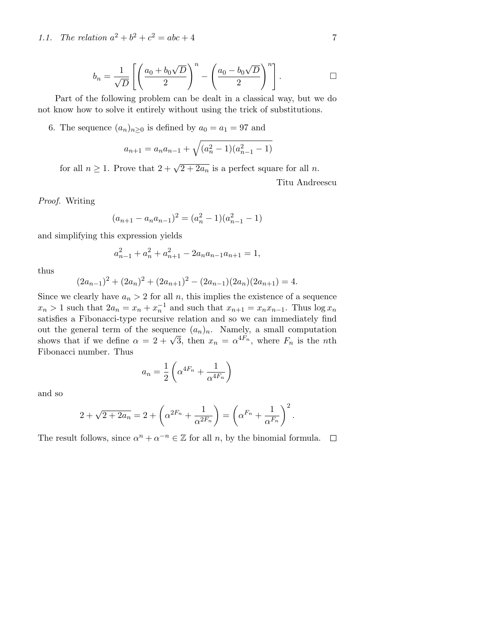1.1. The relation  $a^2 + b^2 + c^2 = abc + 4$  7

$$
b_n = \frac{1}{\sqrt{D}} \left[ \left( \frac{a_0 + b_0 \sqrt{D}}{2} \right)^n - \left( \frac{a_0 - b_0 \sqrt{D}}{2} \right)^n \right].
$$

Part of the following problem can be dealt in a classical way, but we do not know how to solve it entirely without using the trick of substitutions.

6. The sequence  $(a_n)_{n\geq 0}$  is defined by  $a_0 = a_1 = 97$  and

$$
a_{n+1} = a_n a_{n-1} + \sqrt{(a_n^2 - 1)(a_{n-1}^2 - 1)}
$$

for all  $n \geq 1$ . Prove that  $2 + \sqrt{2 + 2a_n}$  is a perfect square for all n.

Titu Andreescu

Proof. Writing

$$
(a_{n+1} - a_n a_{n-1})^2 = (a_n^2 - 1)(a_{n-1}^2 - 1)
$$

and simplifying this expression yields

$$
a_{n-1}^2 + a_n^2 + a_{n+1}^2 - 2a_n a_{n-1} a_{n+1} = 1,
$$

thus

$$
(2a_{n-1})^2 + (2a_n)^2 + (2a_{n+1})^2 - (2a_{n-1})(2a_n)(2a_{n+1}) = 4.
$$

Since we clearly have  $a_n > 2$  for all n, this implies the existence of a sequence  $x_n > 1$  such that  $2a_n = x_n + x_n^{-1}$  and such that  $x_{n+1} = x_n x_{n-1}$ . Thus  $\log x_n$ satisfies a Fibonacci-type recursive relation and so we can immediately find out the general term of the sequence  $(a_n)_n$ . Namely, a small computation shows that if we define  $\alpha = 2 + \sqrt{3}$ , then  $x_n = \alpha^{4F_n}$ , where  $F_n$  is the *n*th Fibonacci number. Thus

$$
a_n = \frac{1}{2} \left( \alpha^{4F_n} + \frac{1}{\alpha^{4F_n}} \right)
$$

and so

$$
2 + \sqrt{2 + 2a_n} = 2 + \left(\alpha^{2F_n} + \frac{1}{\alpha^{2F_n}}\right) = \left(\alpha^{F_n} + \frac{1}{\alpha^{F_n}}\right)^2.
$$

The result follows, since  $\alpha^n + \alpha^{-n} \in \mathbb{Z}$  for all n, by the binomial formula.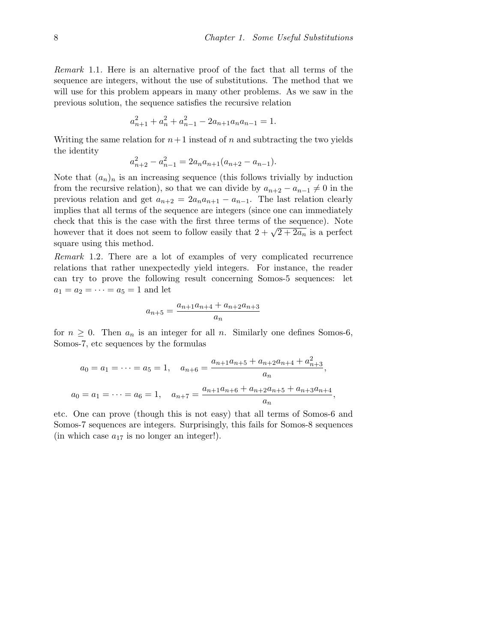Remark 1.1. Here is an alternative proof of the fact that all terms of the sequence are integers, without the use of substitutions. The method that we will use for this problem appears in many other problems. As we saw in the previous solution, the sequence satisfies the recursive relation

$$
a_{n+1}^2 + a_n^2 + a_{n-1}^2 - 2a_{n+1}a_n a_{n-1} = 1.
$$

Writing the same relation for  $n+1$  instead of n and subtracting the two yields the identity

$$
a_{n+2}^2 - a_{n-1}^2 = 2a_n a_{n+1} (a_{n+2} - a_{n-1}).
$$

Note that  $(a_n)_n$  is an increasing sequence (this follows trivially by induction from the recursive relation), so that we can divide by  $a_{n+2} - a_{n-1} \neq 0$  in the previous relation and get  $a_{n+2} = 2a_n a_{n+1} - a_{n-1}$ . The last relation clearly implies that all terms of the sequence are integers (since one can immediately check that this is the case with the first three terms of the sequence). Note the terms of the sequence). Note<br>however that it does not seem to follow easily that  $2 + \sqrt{2 + 2a_n}$  is a perfect square using this method.

Remark 1.2. There are a lot of examples of very complicated recurrence relations that rather unexpectedly yield integers. For instance, the reader can try to prove the following result concerning Somos-5 sequences: let  $a_1 = a_2 = \cdots = a_5 = 1$  and let

$$
a_{n+5} = \frac{a_{n+1}a_{n+4} + a_{n+2}a_{n+3}}{a_n}
$$

for  $n \geq 0$ . Then  $a_n$  is an integer for all n. Similarly one defines Somos-6, Somos-7, etc sequences by the formulas

$$
a_0 = a_1 = \dots = a_5 = 1, \quad a_{n+6} = \frac{a_{n+1}a_{n+5} + a_{n+2}a_{n+4} + a_{n+3}^2}{a_n},
$$
  

$$
a_0 = a_1 = \dots = a_6 = 1, \quad a_{n+7} = \frac{a_{n+1}a_{n+6} + a_{n+2}a_{n+5} + a_{n+3}a_{n+4}}{a_n},
$$

etc. One can prove (though this is not easy) that all terms of Somos-6 and Somos-7 sequences are integers. Surprisingly, this fails for Somos-8 sequences (in which case  $a_{17}$  is no longer an integer!).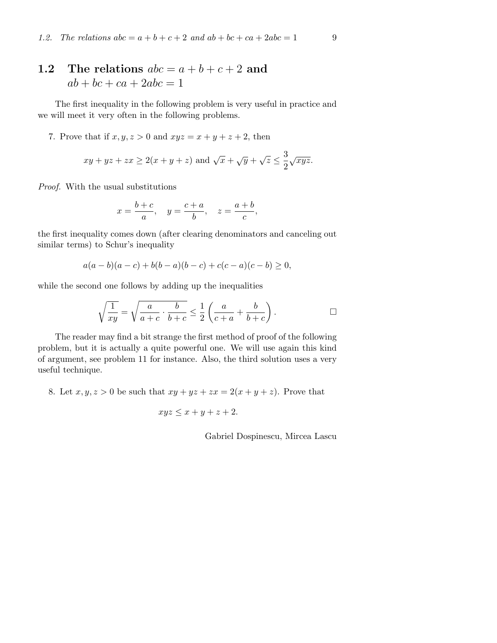## 1.2 The relations  $abc = a + b + c + 2$  and  $ab + bc + ca + 2abc = 1$

The first inequality in the following problem is very useful in practice and we will meet it very often in the following problems.

7. Prove that if  $x, y, z > 0$  and  $xyz = x + y + z + 2$ , then

$$
xy + yz + zx \ge 2(x + y + z)
$$
 and  $\sqrt{x} + \sqrt{y} + \sqrt{z} \le \frac{3}{2}\sqrt{xyz}$ .

Proof. With the usual substitutions

$$
x = \frac{b+c}{a}, \quad y = \frac{c+a}{b}, \quad z = \frac{a+b}{c},
$$

the first inequality comes down (after clearing denominators and canceling out similar terms) to Schur's inequality

$$
a(a-b)(a-c) + b(b-a)(b-c) + c(c-a)(c-b) \ge 0,
$$

while the second one follows by adding up the inequalities

$$
\sqrt{\frac{1}{xy}} = \sqrt{\frac{a}{a+c} \cdot \frac{b}{b+c}} \le \frac{1}{2} \left( \frac{a}{c+a} + \frac{b}{b+c} \right).
$$

The reader may find a bit strange the first method of proof of the following problem, but it is actually a quite powerful one. We will use again this kind of argument, see problem 11 for instance. Also, the third solution uses a very useful technique.

8. Let  $x, y, z > 0$  be such that  $xy + yz + zx = 2(x + y + z)$ . Prove that

$$
xyz \le x + y + z + 2.
$$

Gabriel Dospinescu, Mircea Lascu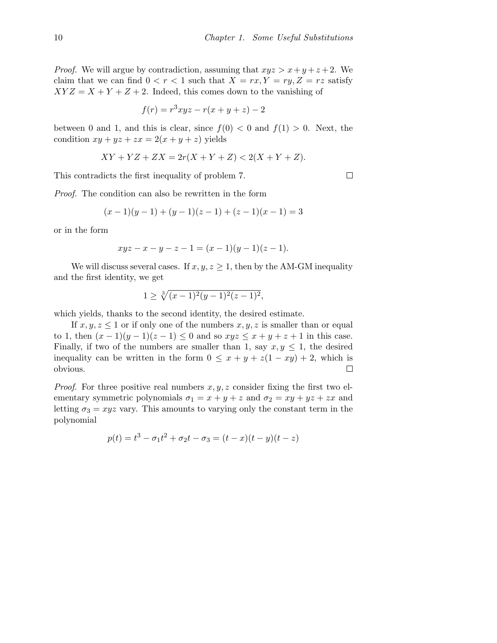*Proof.* We will argue by contradiction, assuming that  $xyz > x+y+z+2$ . We claim that we can find  $0 < r < 1$  such that  $X = rx, Y = ry, Z = rz$  satisfy  $XYZ = X + Y + Z + 2$ . Indeed, this comes down to the vanishing of

$$
f(r) = r^3 xyz - r(x + y + z) - 2
$$

between 0 and 1, and this is clear, since  $f(0) < 0$  and  $f(1) > 0$ . Next, the condition  $xy + yz + zx = 2(x + y + z)$  yields

$$
XY + YZ + ZX = 2r(X + Y + Z) < 2(X + Y + Z).
$$

This contradicts the first inequality of problem 7.

Proof. The condition can also be rewritten in the form

$$
(x-1)(y-1) + (y-1)(z-1) + (z-1)(x-1) = 3
$$

or in the form

$$
xyz - x - y - z - 1 = (x - 1)(y - 1)(z - 1).
$$

We will discuss several cases. If  $x, y, z \geq 1$ , then by the AM-GM inequality and the first identity, we get

$$
1 \ge \sqrt[3]{(x-1)^2(y-1)^2(z-1)^2},
$$

which yields, thanks to the second identity, the desired estimate.

If  $x, y, z \leq 1$  or if only one of the numbers  $x, y, z$  is smaller than or equal to 1, then  $(x - 1)(y - 1)(z - 1) \le 0$  and so  $xyz \le x + y + z + 1$  in this case. Finally, if two of the numbers are smaller than 1, say  $x, y \leq 1$ , the desired inequality can be written in the form  $0 \le x + y + z(1 - xy) + 2$ , which is obvious.  $\Box$ 

*Proof.* For three positive real numbers  $x, y, z$  consider fixing the first two elementary symmetric polynomials  $\sigma_1 = x + y + z$  and  $\sigma_2 = xy + yz + zx$  and letting  $\sigma_3 = xyz$  vary. This amounts to varying only the constant term in the polynomial

$$
p(t) = t3 - \sigma_1 t2 + \sigma_2 t - \sigma_3 = (t - x)(t - y)(t - z)
$$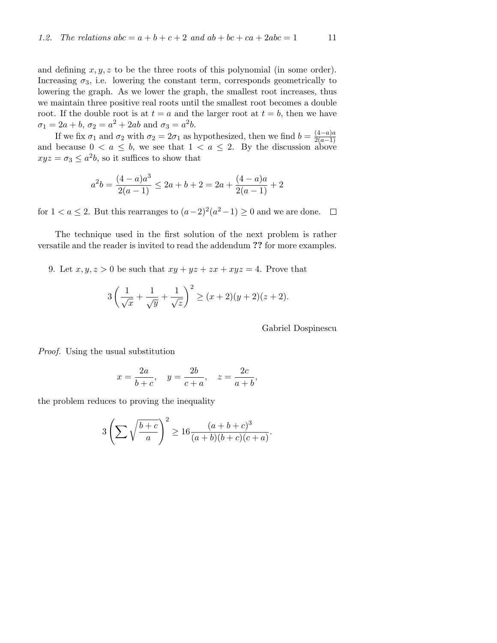and defining  $x, y, z$  to be the three roots of this polynomial (in some order). Increasing  $\sigma_3$ , i.e. lowering the constant term, corresponds geometrically to lowering the graph. As we lower the graph, the smallest root increases, thus we maintain three positive real roots until the smallest root becomes a double root. If the double root is at  $t = a$  and the larger root at  $t = b$ , then we have  $\sigma_1 = 2a + b, \ \sigma_2 = a^2 + 2ab \text{ and } \sigma_3 = a^2b.$ 

If we fix  $\sigma_1$  and  $\sigma_2$  with  $\sigma_2 = 2\sigma_1$  as hypothesized, then we find  $b = \frac{(4-a)a}{2(a-1)}$ and because  $0 < a \le b$ , we see that  $1 < a \le 2$ . By the discussion above  $xyz = \sigma_3 \leq a^2b$ , so it suffices to show that

$$
a^{2}b = \frac{(4-a)a^{3}}{2(a-1)} \le 2a + b + 2 = 2a + \frac{(4-a)a}{2(a-1)} + 2
$$

for  $1 < a \leq 2$ . But this rearranges to  $(a-2)^2(a^2-1) \geq 0$  and we are done.

The technique used in the first solution of the next problem is rather versatile and the reader is invited to read the addendum ?? for more examples.

9. Let  $x, y, z > 0$  be such that  $xy + yz + zx + xyz = 4$ . Prove that

$$
3\left(\frac{1}{\sqrt{x}} + \frac{1}{\sqrt{y}} + \frac{1}{\sqrt{z}}\right)^2 \ge (x+2)(y+2)(z+2).
$$

Gabriel Dospinescu

Proof. Using the usual substitution

$$
x = \frac{2a}{b+c}, \quad y = \frac{2b}{c+a}, \quad z = \frac{2c}{a+b},
$$

the problem reduces to proving the inequality

$$
3\left(\sum\sqrt{\frac{b+c}{a}}\right)^2 \ge 16\frac{(a+b+c)^3}{(a+b)(b+c)(c+a)}.
$$